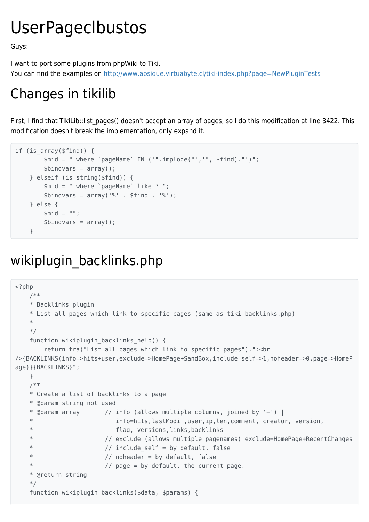## UserPageclbustos

Guys:

I want to port some plugins from phpWiki to Tiki.

You can find the examples on<http://www.apsique.virtuabyte.cl/tiki-index.php?page=NewPluginTests>

## Changes in tikilib

First, I find that TikiLib::list pages() doesn't accept an array of pages, so I do this modification at line 3422. This modification doesn't break the implementation, only expand it.

```
if (is array($find)) {
         $mid = " where `pageName` IN ('".implode("','", $find)."')";
        \text{sbindvars} = \text{array}():
     } elseif (is_string($find)) {
         $mid = " where `pageName` like ? ";
        $bindvars = array('%' . $find . '%'); } else {
        $mid = "";$bindvars = array();
     }
```
## wikiplugin\_backlinks.php

```
<?php
    /**
    * Backlinks plugin
    * List all pages which link to specific pages (same as tiki-backlinks.php)
     *
    */
    function wikiplugin backlinks help() {
         return tra("List all pages which link to specific pages").":<br
/>{BACKLINKS(info=>hits+user,exclude=>HomePage+SandBox,include_self=>1,noheader=>0,page=>HomeP
age)}{BACKLINKS}";
     }
    /**
     * Create a list of backlinks to a page
     * @param string not used
    * @param array \frac{1}{1} info (allows multiple columns, joined by '+') |
                            info=hits,lastModif,user,ip,len,comment, creator, version,
     * flag, versions,links,backlinks
                         // exclude (allows multiple pagenames) | exclude=HomePage+RecentChanges
                         // include self = by default, false
                         // noheader = by default, false
                         // page = by default, the current page.
     * @return string
     */
    function wikiplugin backlinks($data, $params) {
```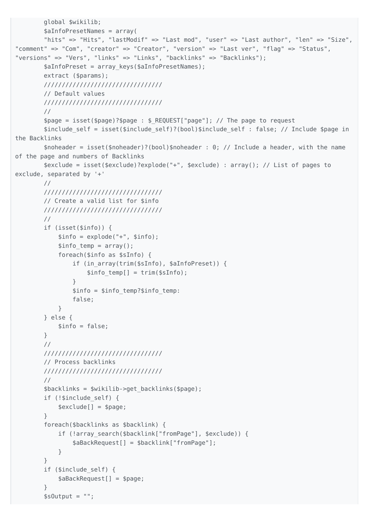```
 global $wikilib;
         $aInfoPresetNames = array(
         "hits" => "Hits", "lastModif" => "Last mod", "user" => "Last author", "len" => "Size",
"comment" => "Com", "creator" => "Creator", "version" => "Last ver", "flag" => "Status",
"versions" => "Vers", "links" => "Links", "backlinks" => "Backlinks");
        $aInfoPreset = array keys($aInfoPresetNames);
        extract ($params);
         /////////////////////////////////
         // Default values
         /////////////////////////////////
         //
         $page = isset($page)?$page : $_REQUEST["page"]; // The page to request
        $include self = isset($include self)?(bool)$include self : false; // Include $page in
the Backlinks
         $noheader = isset($noheader)?(bool)$noheader : 0; // Include a header, with the name
of the page and numbers of Backlinks
         $exclude = isset($exclude)?explode("+", $exclude) : array(); // List of pages to
exclude, separated by '+'
        //
         /////////////////////////////////
         // Create a valid list for $info
         /////////////////////////////////
         //
         if (isset($info)) {
            $info = explore("+", $info);$info temp = array();
             foreach($info as $sInfo) {
                if (in array(trim($sInfo), $aInfoPreset)) {
                    $info temp[] = trim($sInfo); }
                $info = $info temp?$info temp:
                 false;
 }
         } else {
            $info = false;
        }
         //
         /////////////////////////////////
         // Process backlinks
         /////////////////////////////////
         //
         $backlinks = $wikilib->get_backlinks($page);
         if (!$include_self) {
            $exclude[] = $page; }
         foreach($backlinks as $backlink) {
            if (!array search($backlink["fromPage"], $exclude)) {
                 $aBackRequest[] = $backlink["fromPage"];
 }
         }
         if ($include_self) {
             $aBackRequest[] = $page;
         }
        $sOutput = "";
```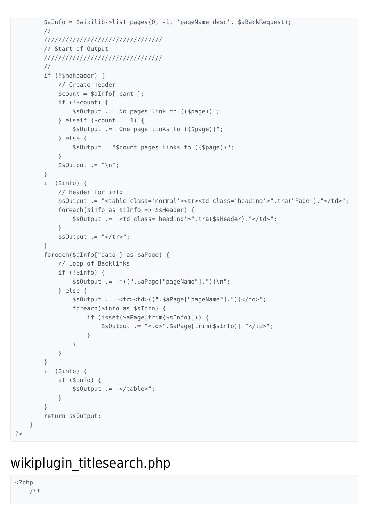```
$aInfo = $wikilib - \text{list pages}(0, -1, 'pageName desc', $aBackRequest);\frac{1}{2}////////////////////////////////////
    // Start of Output
    ///////////////////////////////////
    \frac{1}{2}if (!$noheader) {
         // Create header
         scount = safnfo['cant'];
         if (!$count) { }$sOutput .= "No pages link to (($page))";
         } elseif ($count == 1) {
             $s0utput .= "One page links to (($page))";
         } else \{$sOutput = "Scount pages links to (($page))":\}$sOutput := "\n";\mathcal{F}if (\sin f) \{// Header for info
         $s0utput .= "<table class='normal'><tr><td class='heading'>".tra("Page")."</td>";
         foreach($info as $iInfo => $sHeader) {
             $s0utput .= "<td class='heading'>".tra($sHeader)."</td>";
         \mathcal{L}$sOutput := " < / tr > ";\mathcal{F}foreach($aInfo["data"] as $aPage) {
         // Loop of Backlinks
         if (!$info) {
             $sOutput := "*((".$aPage["pageName"]."))\n";
         \} else {
             $s0utput .= "<tr><td>((".$aPage["pageName"]."))</td>";
             foreach($info as $sInfo) {
                 if (isset($aPage[trim($sInfo)])) {
                      $sOutput .= "<td>".$aPage[trim($sInfo)]."</td>";
                 \mathcal{F}\}\mathcal{L}\}if (\sin f) \{if (\sin f) {
             $sOutput := "</t>\}\mathcal{E}return $s0utput;
\}
```
## wikiplugin titlesearch.php

 $php</math$  $7**$ 

 $? >$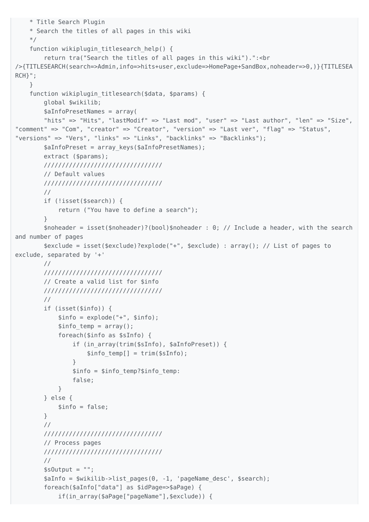```
 * Title Search Plugin
     * Search the titles of all pages in this wiki
    */
   function wikiplugin titlesearch help() {
        return tra("Search the titles of all pages in this wiki").": < br
/>{TITLESEARCH(search=>Admin,info=>hits+user,exclude=>HomePage+SandBox,noheader=>0,)}{TITLESEA
RCH } ";
     }
    function wikiplugin titlesearch($data, $params) {
         global $wikilib;
         $aInfoPresetNames = array(
        "hits" => "Hits", "lastModif" => "Last mod", "user" => "Last author", "len" => "Size",
"comment" => "Com", "creator" => "Creator", "version" => "Last ver", "flag" => "Status",
"versions" => "Vers", "links" => "Links", "backlinks" => "Backlinks");
       $aInfoPreset = array keys($aInfoPresetNames);
         extract ($params);
        /////////////////////////////////
         // Default values
         /////////////////////////////////
         //
        if (!isset($search)) {
             return ("You have to define a search");
         }
         $noheader = isset($noheader)?(bool)$noheader : 0; // Include a header, with the search
and number of pages
         $exclude = isset($exclude)?explode("+", $exclude) : array(); // List of pages to
exclude, separated by '+'
        //
         /////////////////////////////////
         // Create a valid list for $info
         /////////////////////////////////
         //
         if (isset($info)) {
            $info = explode("+", $info);$info temp = array();
             foreach($info as $sInfo) {
                if (in array(trim($sInfo), $aInfoPreset)) {
                    $info temp[] = trim(SsInfo); }
                 $info = $info_temp?$info_temp:
                 false;
 }
         } else {
            $info = false;
         }
         //
         /////////////////////////////////
         // Process pages
         /////////////////////////////////
         //
        $sOutput = "";
         $aInfo = $wikilib->list_pages(0, -1, 'pageName_desc', $search);
         foreach($aInfo["data"] as $idPage=>$aPage) {
            if(in array($aPage["pageName"],$exclude)) {
```